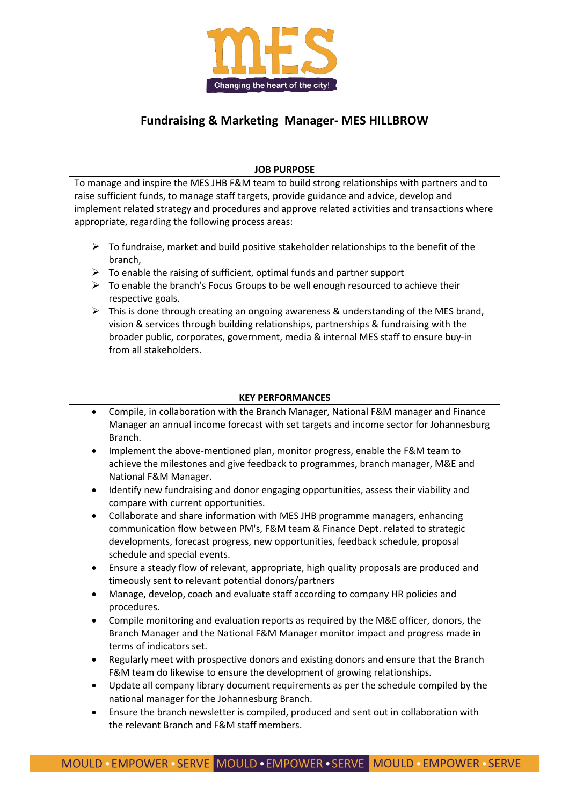

# **Fundraising & Marketing Manager- MES HILLBROW**

## **JOB PURPOSE**

To manage and inspire the MES JHB F&M team to build strong relationships with partners and to raise sufficient funds, to manage staff targets, provide guidance and advice, develop and implement related strategy and procedures and approve related activities and transactions where appropriate, regarding the following process areas:

- $\triangleright$  To fundraise, market and build positive stakeholder relationships to the benefit of the branch,
- $\triangleright$  To enable the raising of sufficient, optimal funds and partner support
- $\triangleright$  To enable the branch's Focus Groups to be well enough resourced to achieve their respective goals.
- $\triangleright$  This is done through creating an ongoing awareness & understanding of the MES brand, vision & services through building relationships, partnerships & fundraising with the broader public, corporates, government, media & internal MES staff to ensure buy-in from all stakeholders.

## **KEY PERFORMANCES**

- Compile, in collaboration with the Branch Manager, National F&M manager and Finance Manager an annual income forecast with set targets and income sector for Johannesburg Branch.
- Implement the above-mentioned plan, monitor progress, enable the F&M team to achieve the milestones and give feedback to programmes, branch manager, M&E and National F&M Manager.
- Identify new fundraising and donor engaging opportunities, assess their viability and compare with current opportunities.
- Collaborate and share information with MES JHB programme managers, enhancing communication flow between PM's, F&M team & Finance Dept. related to strategic developments, forecast progress, new opportunities, feedback schedule, proposal schedule and special events.
- Ensure a steady flow of relevant, appropriate, high quality proposals are produced and timeously sent to relevant potential donors/partners
- Manage, develop, coach and evaluate staff according to company HR policies and procedures.
- Compile monitoring and evaluation reports as required by the M&E officer, donors, the Branch Manager and the National F&M Manager monitor impact and progress made in terms of indicators set.
- Regularly meet with prospective donors and existing donors and ensure that the Branch F&M team do likewise to ensure the development of growing relationships.
- Update all company library document requirements as per the schedule compiled by the national manager for the Johannesburg Branch.
- Ensure the branch newsletter is compiled, produced and sent out in collaboration with the relevant Branch and F&M staff members.